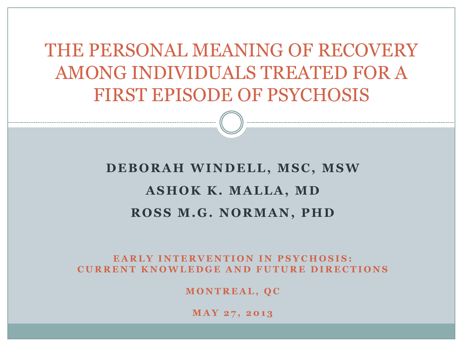THE PERSONAL MEANING OF RECOVERY AMONG INDIVIDUALS TREATED FOR A FIRST EPISODE OF PSYCHOSIS

#### **DEBORAH WINDELL, MSC, MSW ASHOK K. MALLA, MD ROSS M.G. NORMAN, PHD**

#### **EARLY INTERVENTION IN PSYCHOSIS: C U R R E N T K N O W L E D G E A N D F U T U R E D I R E C T I O N S**

**M O N T R E A L , Q C**

**M A Y 2 7 , 2 0 1 3**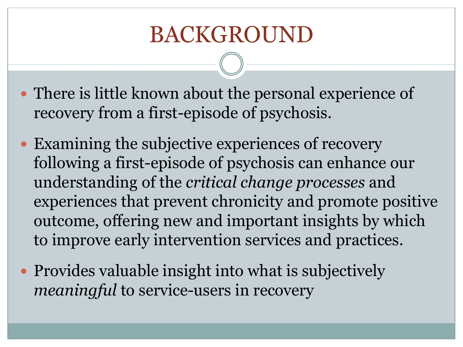# BACKGROUND

- There is little known about the personal experience of recovery from a first-episode of psychosis.
- Examining the subjective experiences of recovery following a first-episode of psychosis can enhance our understanding of the *critical change processes* and experiences that prevent chronicity and promote positive outcome, offering new and important insights by which to improve early intervention services and practices.
- Provides valuable insight into what is subjectively *meaningful* to service-users in recovery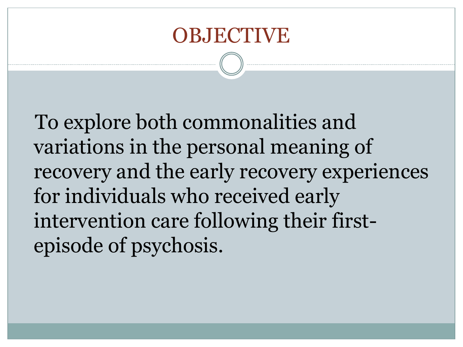#### **OBJECTIVE**

 To explore both commonalities and variations in the personal meaning of recovery and the early recovery experiences for individuals who received early intervention care following their firstepisode of psychosis.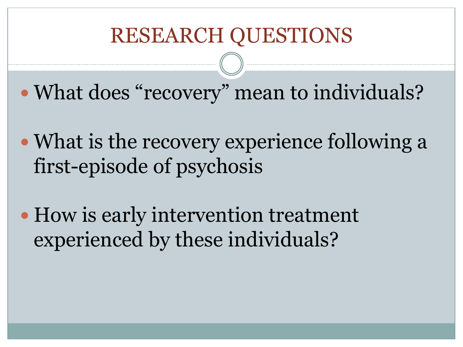#### RESEARCH QUESTIONS

• What does "recovery" mean to individuals?

- What is the recovery experience following a first-episode of psychosis
- How is early intervention treatment experienced by these individuals?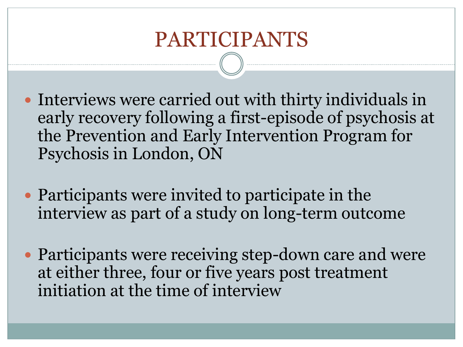#### PARTICIPANTS

- Interviews were carried out with thirty individuals in early recovery following a first-episode of psychosis at the Prevention and Early Intervention Program for Psychosis in London, ON
- Participants were invited to participate in the interview as part of a study on long-term outcome
- Participants were receiving step-down care and were at either three, four or five years post treatment initiation at the time of interview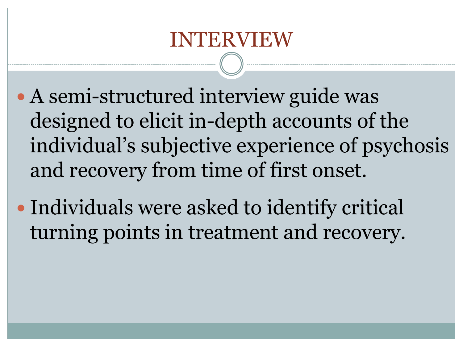- A semi-structured interview guide was designed to elicit in-depth accounts of the individual's subjective experience of psychosis and recovery from time of first onset.
- Individuals were asked to identify critical turning points in treatment and recovery.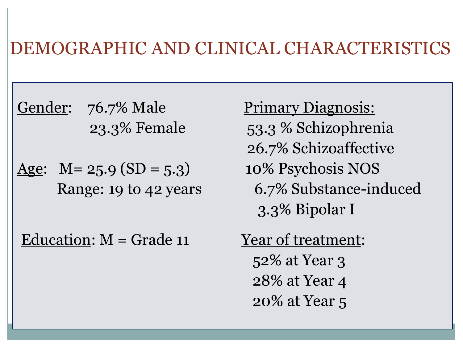#### DEMOGRAPHIC AND CLINICAL CHARACTERISTICS

Gender: 76.7% Male Primary Diagnosis:

Age:  $M = 25.9$  (SD = 5.3) 10% Psychosis NOS

Education:  $M =$  Grade 11 Year of treatment:

 23.3% Female 53.3 % Schizophrenia 26.7% Schizoaffective Range: 19 to 42 years 6.7% Substance-induced 3.3% Bipolar I

> 52% at Year 3 28% at Year 4 20% at Year 5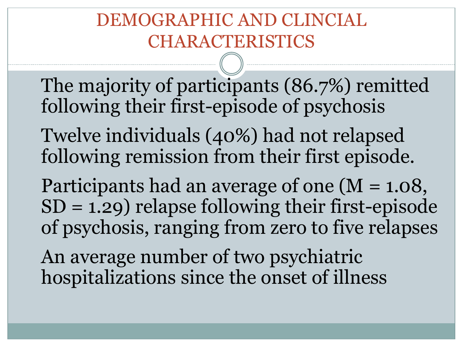#### DEMOGRAPHIC AND CLINCIAL CHARACTERISTICS

The majority of participants (86.7%) remitted following their first-episode of psychosis

Twelve individuals (40%) had not relapsed following remission from their first episode.

Participants had an average of one (M = 1.08,  $SD = 1.29$ ) relapse following their first-episode of psychosis, ranging from zero to five relapses

An average number of two psychiatric hospitalizations since the onset of illness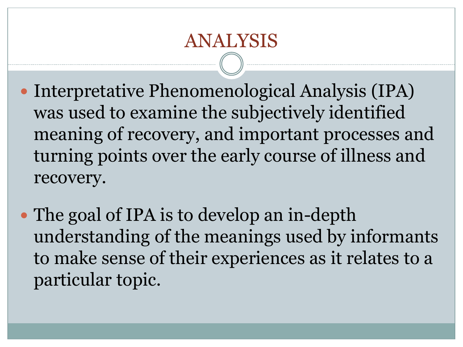- Interpretative Phenomenological Analysis (IPA) was used to examine the subjectively identified meaning of recovery, and important processes and turning points over the early course of illness and recovery.
- The goal of IPA is to develop an in-depth understanding of the meanings used by informants to make sense of their experiences as it relates to a particular topic.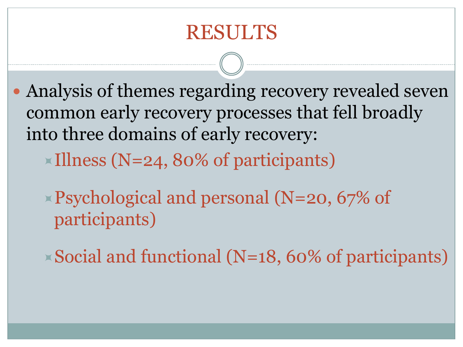#### RESULTS

 Analysis of themes regarding recovery revealed seven common early recovery processes that fell broadly into three domains of early recovery:

 $\times$ Illness (N=24, 80% of participants)

- Psychological and personal (N=20, 67% of participants)
- $\triangle$  Social and functional (N=18, 60% of participants)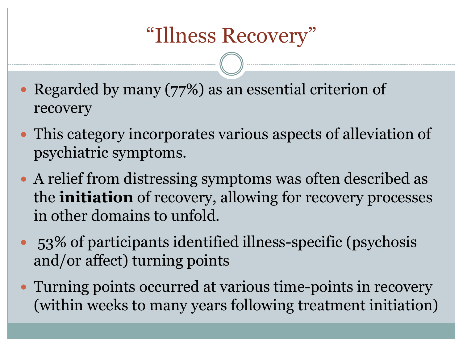## "Illness Recovery"

- Regarded by many (77%) as an essential criterion of recovery
- This category incorporates various aspects of alleviation of psychiatric symptoms.
- A relief from distressing symptoms was often described as the **initiation** of recovery, allowing for recovery processes in other domains to unfold.
- 53% of participants identified illness-specific (psychosis and/or affect) turning points
- Turning points occurred at various time-points in recovery (within weeks to many years following treatment initiation)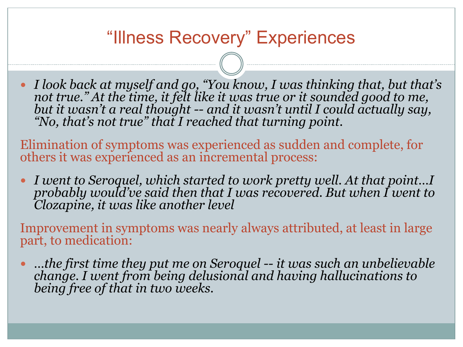#### "Illness Recovery" Experiences

 *I look back at myself and go, "You know, I was thinking that, but that's not true." At the time, it felt like it was true or it sounded good to me, but it wasn't a real thought -- and it wasn't until I could actually say, "No, that's not true" that I reached that turning point.*

Elimination of symptoms was experienced as sudden and complete, for others it was experienced as an incremental process:

 *I went to Seroquel, which started to work pretty well. At that point…I probably would've said then that I was recovered. But when I went to Clozapine, it was like another level*

Improvement in symptoms was nearly always attributed, at least in large part, to medication:

 *…the first time they put me on Seroquel -- it was such an unbelievable change. I went from being delusional and having hallucinations to being free of that in two weeks.*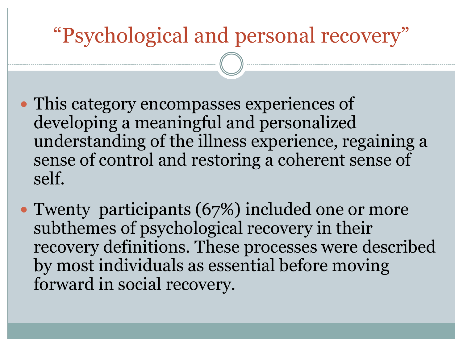## "Psychological and personal recovery"

- This category encompasses experiences of developing a meaningful and personalized understanding of the illness experience, regaining a sense of control and restoring a coherent sense of self.
- Twenty participants (67%) included one or more subthemes of psychological recovery in their recovery definitions. These processes were described by most individuals as essential before moving forward in social recovery.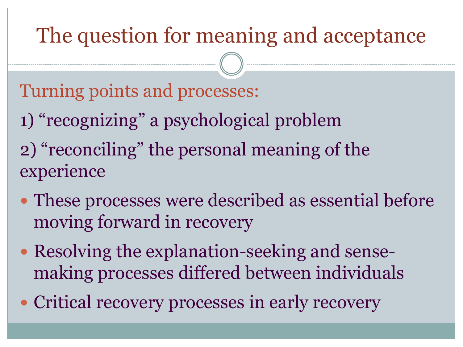## The question for meaning and acceptance

Turning points and processes:

- 1) "recognizing" a psychological problem
- 2) "reconciling" the personal meaning of the experience
- These processes were described as essential before moving forward in recovery
- Resolving the explanation-seeking and sensemaking processes differed between individuals
- Critical recovery processes in early recovery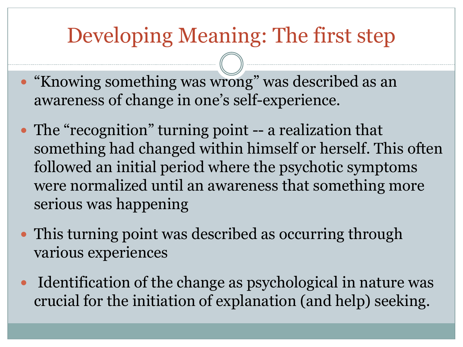## Developing Meaning: The first step

- "Knowing something was wrong" was described as an awareness of change in one's self-experience.
- The "recognition" turning point -- a realization that something had changed within himself or herself. This often followed an initial period where the psychotic symptoms were normalized until an awareness that something more serious was happening
- This turning point was described as occurring through various experiences
- Identification of the change as psychological in nature was crucial for the initiation of explanation (and help) seeking.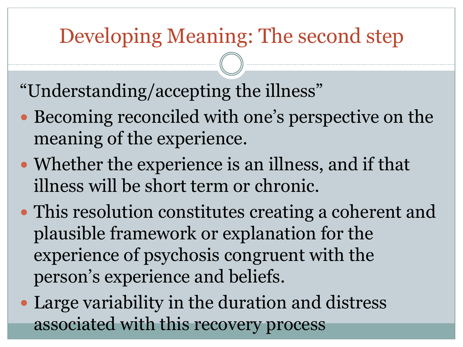### Developing Meaning: The second step

"Understanding/accepting the illness"

- Becoming reconciled with one's perspective on the meaning of the experience.
- Whether the experience is an illness, and if that illness will be short term or chronic.
- This resolution constitutes creating a coherent and plausible framework or explanation for the experience of psychosis congruent with the person's experience and beliefs.
- Large variability in the duration and distress associated with this recovery process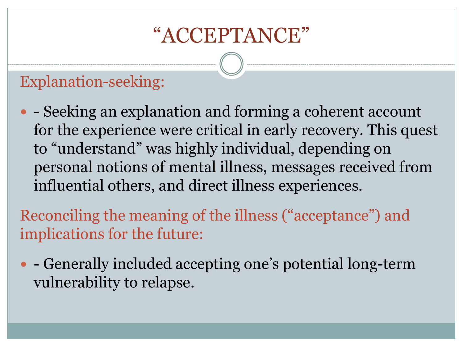### "ACCEPTANCE"

#### Explanation-seeking:

• - Seeking an explanation and forming a coherent account for the experience were critical in early recovery. This quest to "understand" was highly individual, depending on personal notions of mental illness, messages received from influential others, and direct illness experiences.

Reconciling the meaning of the illness ("acceptance") and implications for the future:

• Generally included accepting one's potential long-term vulnerability to relapse.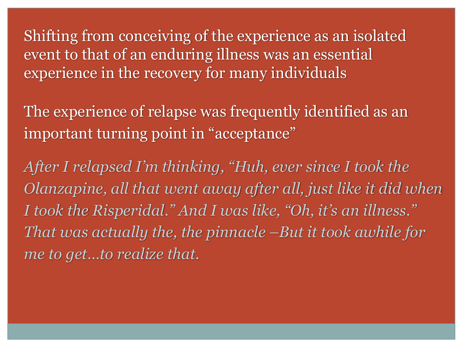Shifting from conceiving of the experience as an isolated event to that of an enduring illness was an essential experience in the recovery for many individuals

The experience of relapse was frequently identified as an important turning point in "acceptance"

*After I relapsed I'm thinking, "Huh, ever since I took the Olanzapine, all that went away after all, just like it did when I took the Risperidal." And I was like, "Oh, it's an illness." That was actually the, the pinnacle –But it took awhile for me to get…to realize that.*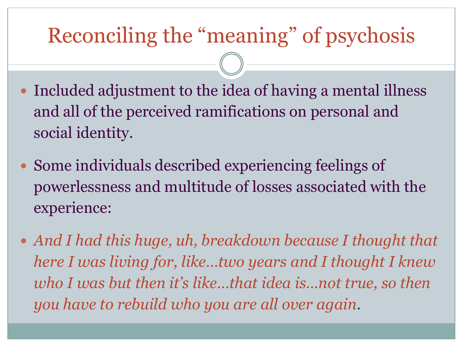## Reconciling the "meaning" of psychosis

- Included adjustment to the idea of having a mental illness and all of the perceived ramifications on personal and social identity.
- Some individuals described experiencing feelings of powerlessness and multitude of losses associated with the experience:
- *And I had this huge, uh, breakdown because I thought that here I was living for, like…two years and I thought I knew who I was but then it's like…that idea is…not true, so then you have to rebuild who you are all over again.*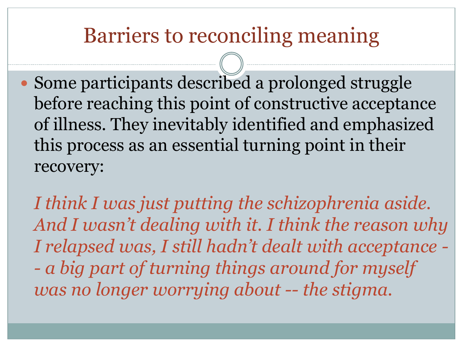#### Barriers to reconciling meaning

- Some participants described a prolonged struggle before reaching this point of constructive acceptance of illness. They inevitably identified and emphasized this process as an essential turning point in their recovery:
	- *I think I was just putting the schizophrenia aside. And I wasn't dealing with it. I think the reason why I relapsed was, I still hadn't dealt with acceptance - - a big part of turning things around for myself was no longer worrying about -- the stigma.*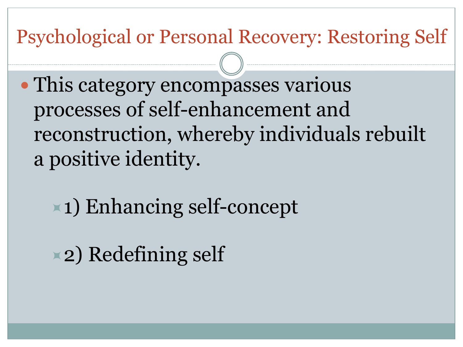#### Psychological or Personal Recovery: Restoring Self

 This category encompasses various processes of self-enhancement and reconstruction, whereby individuals rebuilt a positive identity.

1) Enhancing self-concept

2) Redefining self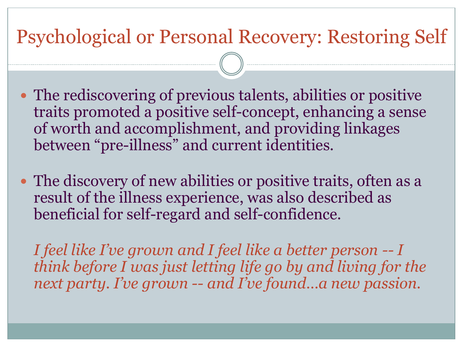#### Psychological or Personal Recovery: Restoring Self

- The rediscovering of previous talents, abilities or positive traits promoted a positive self-concept, enhancing a sense of worth and accomplishment, and providing linkages between "pre-illness" and current identities.
- The discovery of new abilities or positive traits, often as a result of the illness experience, was also described as beneficial for self-regard and self-confidence.

*I feel like I've grown and I feel like a better person -- I think before I was just letting life go by and living for the next party. I've grown -- and I've found…a new passion.*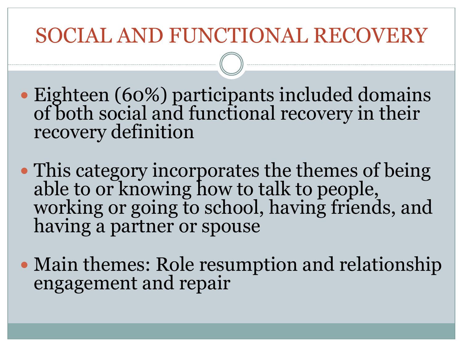### SOCIAL AND FUNCTIONAL RECOVERY

- Eighteen (60%) participants included domains of both social and functional recovery in their recovery definition
- This category incorporates the themes of being able to or knowing how to talk to people, working or going to school, having friends, and having a partner or spouse
- Main themes: Role resumption and relationship engagement and repair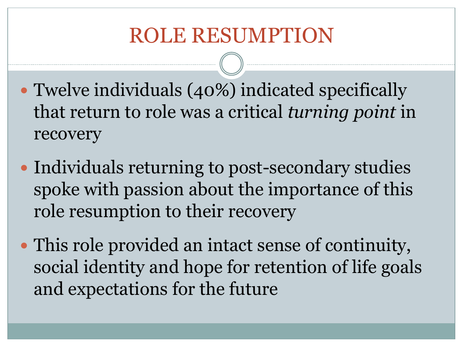### ROLE RESUMPTION

- Twelve individuals (40%) indicated specifically that return to role was a critical *turning point* in recovery
- Individuals returning to post-secondary studies spoke with passion about the importance of this role resumption to their recovery
- This role provided an intact sense of continuity, social identity and hope for retention of life goals and expectations for the future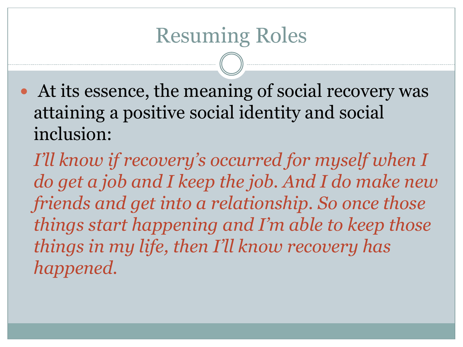At its essence, the meaning of social recovery was attaining a positive social identity and social inclusion:

*I'll know if recovery's occurred for myself when I do get a job and I keep the job. And I do make new friends and get into a relationship. So once those things start happening and I'm able to keep those things in my life, then I'll know recovery has happened.*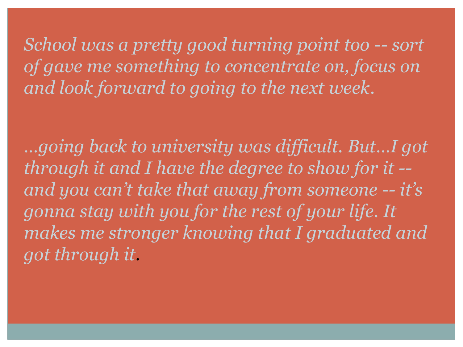*School was a pretty good turning point too -- sort of gave me something to concentrate on, focus on and look forward to going to the next week.*

*…going back to university was difficult. But…I got through it and I have the degree to show for it - and you can't take that away from someone -- it's gonna stay with you for the rest of your life. It makes me stronger knowing that I graduated and got through it.*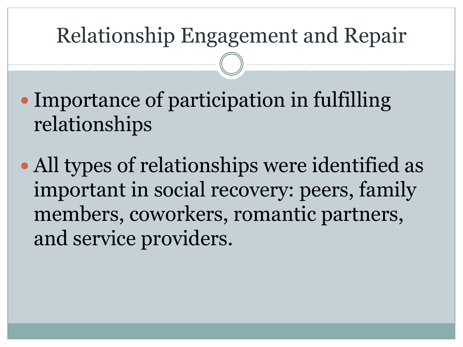## Relationship Engagement and Repair

- Importance of participation in fulfilling relationships
- All types of relationships were identified as important in social recovery: peers, family members, coworkers, romantic partners, and service providers.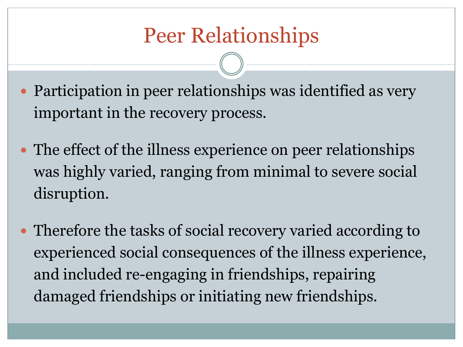## Peer Relationships

- Participation in peer relationships was identified as very important in the recovery process.
- The effect of the illness experience on peer relationships was highly varied, ranging from minimal to severe social disruption.
- Therefore the tasks of social recovery varied according to experienced social consequences of the illness experience, and included re-engaging in friendships, repairing damaged friendships or initiating new friendships.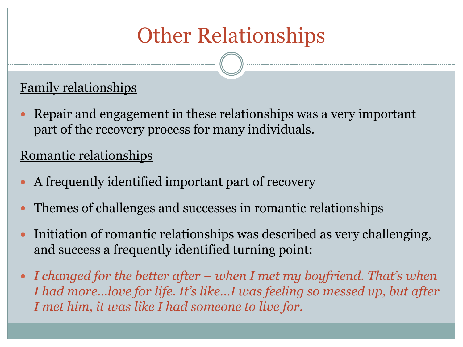# Other Relationships

#### Family relationships

 Repair and engagement in these relationships was a very important part of the recovery process for many individuals.

#### Romantic relationships

- A frequently identified important part of recovery
- Themes of challenges and successes in romantic relationships
- Initiation of romantic relationships was described as very challenging, and success a frequently identified turning point:
- *I changed for the better after – when I met my boyfriend. That's when I had more…love for life. It's like…I was feeling so messed up, but after I met him, it was like I had someone to live for.*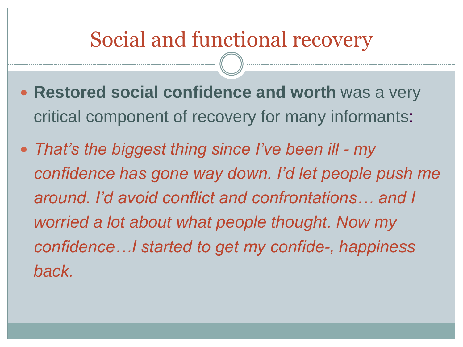### Social and functional recovery

- **Restored social confidence and worth** was a very critical component of recovery for many informants:
- *That's the biggest thing since I've been ill - my confidence has gone way down. I'd let people push me around. I'd avoid conflict and confrontations… and I worried a lot about what people thought. Now my confidence…I started to get my confide-, happiness back.*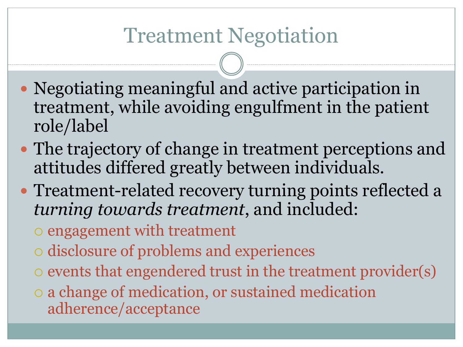## Treatment Negotiation

- Negotiating meaningful and active participation in treatment, while avoiding engulfment in the patient role/label
- The trajectory of change in treatment perceptions and attitudes differed greatly between individuals.
- Treatment-related recovery turning points reflected a *turning towards treatment*, and included:
	- o engagement with treatment
	- disclosure of problems and experiences
	- $\circ$  events that engendered trust in the treatment provider(s)
	- a change of medication, or sustained medication adherence/acceptance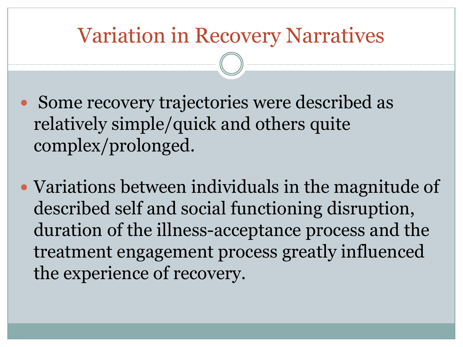#### Variation in Recovery Narratives

- Some recovery trajectories were described as relatively simple/quick and others quite complex/prolonged.
- Variations between individuals in the magnitude of described self and social functioning disruption, duration of the illness-acceptance process and the treatment engagement process greatly influenced the experience of recovery.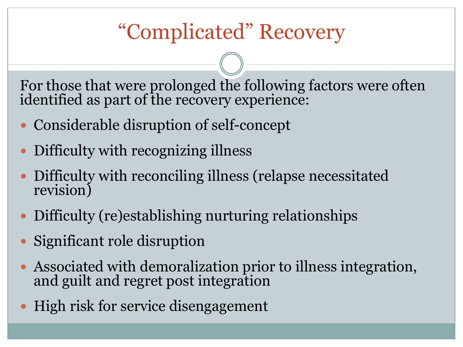## "Complicated" Recovery

For those that were prolonged the following factors were often identified as part of the recovery experience:

- Considerable disruption of self-concept
- Difficulty with recognizing illness
- Difficulty with reconciling illness (relapse necessitated revision)
- Difficulty (re)establishing nurturing relationships
- Significant role disruption
- Associated with demoralization prior to illness integration, and guilt and regret post integration
- High risk for service disengagement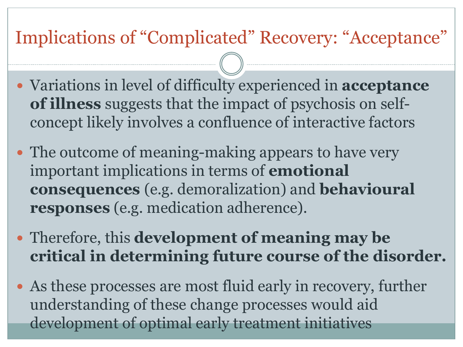#### Implications of "Complicated" Recovery: "Acceptance"

- Variations in level of difficulty experienced in **acceptance of illness** suggests that the impact of psychosis on selfconcept likely involves a confluence of interactive factors
- The outcome of meaning-making appears to have very important implications in terms of **emotional consequences** (e.g. demoralization) and **behavioural responses** (e.g. medication adherence).
- Therefore, this **development of meaning may be critical in determining future course of the disorder.**
- As these processes are most fluid early in recovery, further understanding of these change processes would aid development of optimal early treatment initiatives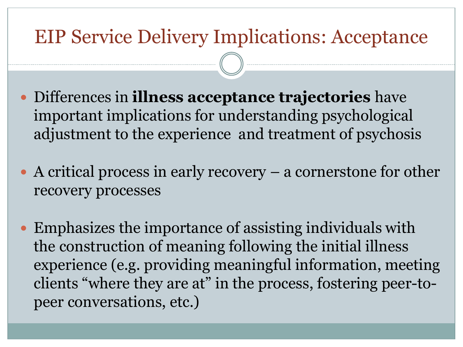#### EIP Service Delivery Implications: Acceptance

- Differences in **illness acceptance trajectories** have important implications for understanding psychological adjustment to the experience and treatment of psychosis
- A critical process in early recovery  $-$  a cornerstone for other recovery processes
- Emphasizes the importance of assisting individuals with the construction of meaning following the initial illness experience (e.g. providing meaningful information, meeting clients "where they are at" in the process, fostering peer-topeer conversations, etc.)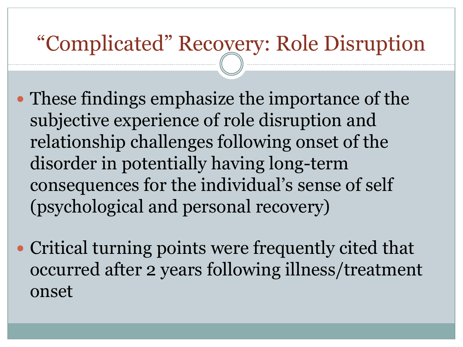### "Complicated" Recovery: Role Disruption

- These findings emphasize the importance of the subjective experience of role disruption and relationship challenges following onset of the disorder in potentially having long-term consequences for the individual's sense of self (psychological and personal recovery)
- Critical turning points were frequently cited that occurred after 2 years following illness/treatment onset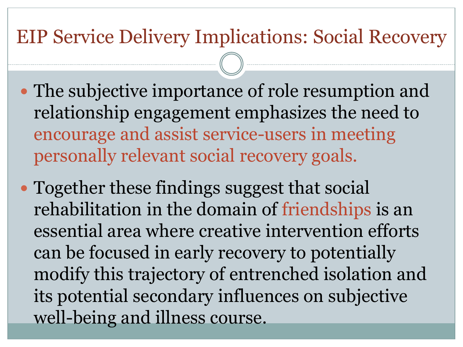#### EIP Service Delivery Implications: Social Recovery

- The subjective importance of role resumption and relationship engagement emphasizes the need to encourage and assist service-users in meeting personally relevant social recovery goals.
- Together these findings suggest that social rehabilitation in the domain of friendships is an essential area where creative intervention efforts can be focused in early recovery to potentially modify this trajectory of entrenched isolation and its potential secondary influences on subjective well-being and illness course.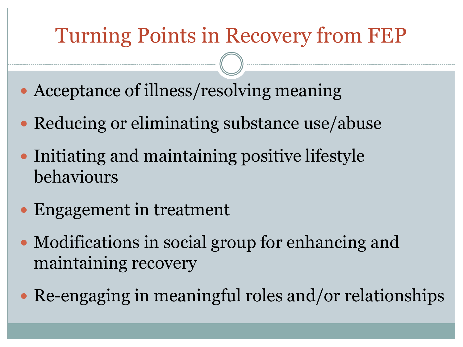## Turning Points in Recovery from FEP

- Acceptance of illness/resolving meaning
- Reducing or eliminating substance use/abuse
- Initiating and maintaining positive lifestyle behaviours
- Engagement in treatment
- Modifications in social group for enhancing and maintaining recovery
- Re-engaging in meaningful roles and/or relationships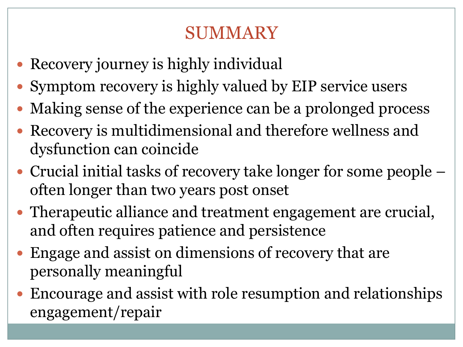#### SUMMARY

- Recovery journey is highly individual
- Symptom recovery is highly valued by EIP service users
- Making sense of the experience can be a prolonged process
- Recovery is multidimensional and therefore wellness and dysfunction can coincide
- Crucial initial tasks of recovery take longer for some people often longer than two years post onset
- Therapeutic alliance and treatment engagement are crucial, and often requires patience and persistence
- Engage and assist on dimensions of recovery that are personally meaningful
- Encourage and assist with role resumption and relationships engagement/repair